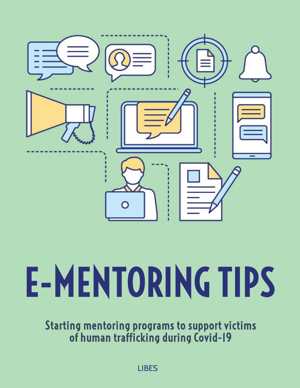

# E-MENTORING TIPS

Starting mentoring programs to support victims of human trafficking during Covid-19

LIBES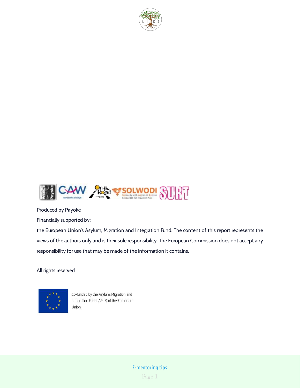



Produced by Payoke

Financially supported by:

the European Union's Asylum, Migration and Integration Fund. The content of this report represents the views of the authors only and is their sole responsibility. The European Commission does not accept any responsibility for use that may be made of the information it contains.

All rights reserved



Co-funded by the Asylum, Migration and Integration Fund (AMIF) of the European Union

> Page 1 E-mentoring tips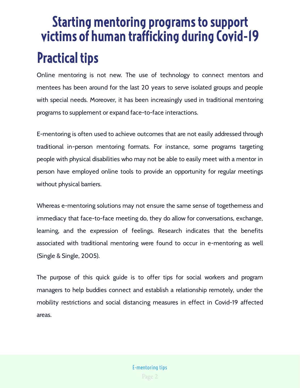## Practical tips Starting mentoring programs to support victims of human trafficking during Covid-19

Online mentoring is not new. The use of technology to connect mentors and mentees has been around for the last 20 years to serve isolated groups and people with special needs. Moreover, it has been increasingly used in traditional mentoring programs to supplement or expand face-to-face interactions.

E-mentoring is often used to achieve outcomes that are not easily addressed through traditional in-person mentoring formats. For instance, some programs targeting people with physical disabilities who may not be able to easily meet with a mentor in person have employed online tools to provide an opportunity for regular meetings without physical barriers.

Whereas e-mentoring solutions may not ensure the same sense of togetherness and immediacy that face-to-face meeting do, they do allow for conversations, exchange, learning, and the expression of feelings. Research indicates that the benefits associated with traditional mentoring were found to occur in e-mentoring as well (Single & Single, 2005).

The purpose of this quick guide is to offer tips for social workers and program managers to help buddies connect and establish a relationship remotely, under the mobility restrictions and social distancing measures in effect in Covid-19 affected areas.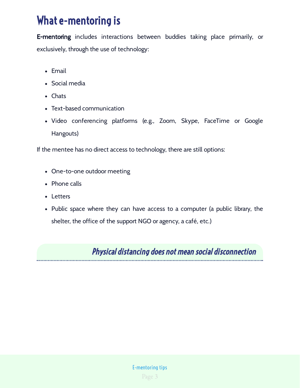## What e-mentoring is

**E-mentoring** includes interactions between buddies taking place primarily, or exclusively, through the use of technology:

- Email
- Social media
- Chats
- Text-based communication
- Video conferencing platforms (e.g., Zoom, Skype, FaceTime or Google Hangouts)

If the mentee has no direct access to technology, there are still options:

- One-to-one outdoor meeting
- Phone calls
- Letters
- Public space where they can have access to a computer (a public library, the shelter, the office of the support NGO or agency, a café, etc.)

Physical distancing does not mean social disconnection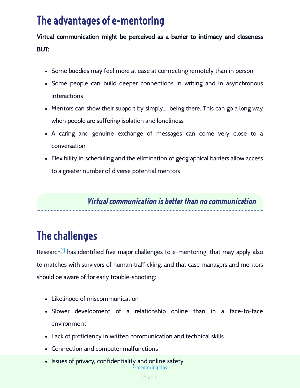## The advantages of e-mentoring

Virtual communication might be perceived as a barrier to intimacy and closeness BUT:

- Some buddies may feel more at ease at connecting remotely than in person
- Some people can build deeper connections in writing and in asynchronous interactions
- Mentors can show their support by simply…. being there. This can go a long way when people are suffering isolation and loneliness
- A caring and genuine exchange of messages can come very close to a conversation
- Flexibility in scheduling and the elimination of geographical barriers allow access to a greater number of diverse potential mentors

Virtual communication is better than no communication

## The challenges

Research<sup>[1]</sup> has identified five major challenges to e-mentoring, that may apply also to matches with survivors of human trafficking, and that case managers and mentors should be aware of for early trouble-shooting:

- Likelihood of miscommunication
- Slower development of a relationship online than in a face-to-face environment
- Lack of proficiency in written communication and technical skills
- Connection and computer malfunctions
- E-mentoring tips • Issues of privacy, confidentiality and online safety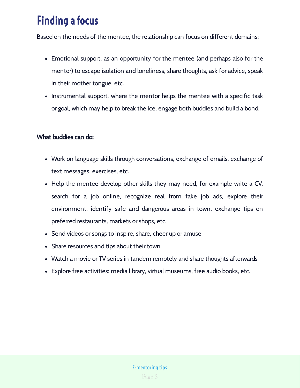## Finding a focus

Based on the needs of the mentee, the relationship can focus on different domains:

- Emotional support, as an opportunity for the mentee (and perhaps also for the mentor) to escape isolation and loneliness, share thoughts, ask for advice, speak in their mother tongue, etc.
- Instrumental support, where the mentor helps the mentee with a specific task or goal, which may help to break the ice, engage both buddies and build a bond.

#### What buddies can do:

- Work on language skills through conversations, exchange of emails, exchange of text messages, exercises, etc.
- Help the mentee develop other skills they may need, for example write a CV, search for a job online, recognize real from fake job ads, explore their environment, identify safe and dangerous areas in town, exchange tips on preferred restaurants, markets or shops, etc.
- Send videos or songs to inspire, share, cheer up or amuse
- Share resources and tips about their town
- Watch a movie or TV series in tandem remotely and share thoughts afterwards
- Explore free activities: media library, virtual museums, free audio books, etc.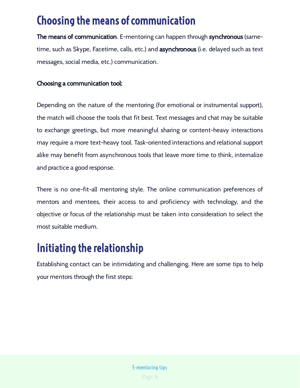## Choosing the means of communication

**The means of communication**. E-mentoring can happen through **synchronous** (sametime, such as Skype, Facetime, calls, etc.) and **asynchronous** (i.e. delayed such as text messages, social media, etc.) communication.

### Choosing a communication tool:

Depending on the nature of the mentoring (for emotional or instrumental support), the match will choose the tools that fit best. Text messages and chat may be suitable to exchange greetings, but more meaningful sharing or content-heavy interactions may require a more text-heavy tool. Task-oriented interactions and relational support alike may benefit from asynchronous tools that leave more time to think, internalize and practice a good response.

There is no one-fit-all mentoring style. The online communication preferences of mentors and mentees, their access to and proficiency with technology, and the objective or focus of the relationship must be taken into consideration to select the most suitable medium.

## Initiating the relationship

Establishing contact can be intimidating and challenging. Here are some tips to help your mentors through the first steps: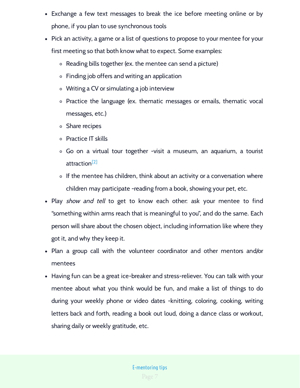- Exchange a few text messages to break the ice before meeting online or by phone, if you plan to use synchronous tools
- Pick an activity, a game or a list of questions to propose to your mentee for your first meeting so that both know what to expect. Some examples:
	- Reading bills together (ex. the mentee can send a picture)
	- Finding job offers and writing an application
	- Writing a CV or simulating a job interview
	- Practice the language (ex. thematic messages or emails, thematic vocal messages, etc.)
	- Share recipes
	- Practice IT skills
	- Go on a virtual tour together -visit a museum, an aquarium, a tourist attraction<sup>[2]</sup>
	- $\circ$  If the mentee has children, think about an activity or a conversation where children may participate -reading from a book, showing your pet, etc.
- Play *show and tell* to get to know each other: ask your mentee to find "something within arms reach that is meaningful to you", and do the same. Each person will share about the chosen object, including information like where they got it, and why they keep it.
- Plan a group call with the volunteer coordinator and other mentors and/or mentees
- Having fun can be a great ice-breaker and stress-reliever. You can talk with your mentee about what you think would be fun, and make a list of things to do during your weekly phone or video dates -knitting, coloring, cooking, writing letters back and forth, reading a book out loud, doing a dance class or workout, sharing daily or weekly gratitude, etc.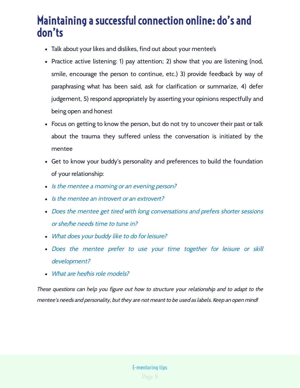## Maintaining a successful connection online: do's and don'ts

- Talk about your likes and dislikes, find out about your mentee's
- Practice active listening: 1) pay attention; 2) show that you are listening (nod, smile, encourage the person to continue, etc.) 3) provide feedback by way of paraphrasing what has been said, ask for clarification or summarize, 4) defer judgement, 5) respond appropriately by asserting your opinions respectfully and being open and honest
- Focus on getting to know the person, but do not try to uncover their past or talk about the trauma they suffered unless the conversation is initiated by the mentee
- Get to know your buddy's personality and preferences to build the foundation of your relationship:
- Is the mentee a morning or an evening person?
- Is the mentee an introvert or an extrovert?
- Does the mentee get tired with long conversations and prefers shorter sessions or she/he needs time to tune in?
- What does your buddy like to do for leisure?
- Does the mentee prefer to use your time together for leisure or skill development?
- What are her/his role models?

These questions can help you figure out how to structure your relationship and to adapt to the mentee's needs and personality, but they are not meant to be used as labels. Keep an open mind!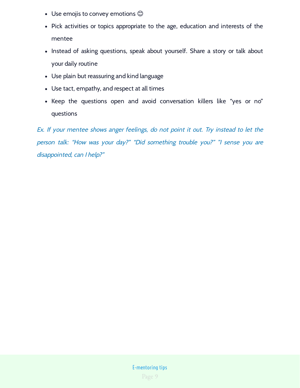- Use emojis to convey emotions  $\mathbb{O}$
- Pick activities or topics appropriate to the age, education and interests of the mentee
- Instead of asking questions, speak about yourself. Share a story or talk about your daily routine
- Use plain but reassuring and kind language
- Use tact, empathy, and respect at all times
- Keep the questions open and avoid conversation killers like "yes or no" questions

Ex. If your mentee shows anger feelings, do not point it out. Try instead to let the person talk: "How was your day?" "Did something trouble you?" "I sense you are disappointed, can I help?"

### Page 9 E-mentoring tips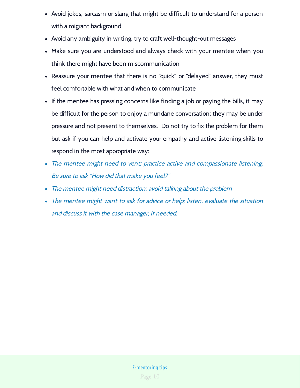- Avoid jokes, sarcasm or slang that might be difficult to understand for a person with a migrant background
- Avoid any ambiguity in writing, try to craft well-thought-out messages
- Make sure you are understood and always check with your mentee when you think there might have been miscommunication
- Reassure your mentee that there is no "quick" or "delayed" answer, they must feel comfortable with what and when to communicate
- If the mentee has pressing concerns like finding a job or paying the bills, it may be difficult for the person to enjoy a mundane conversation; they may be under pressure and not present to themselves. Do not try to fix the problem for them but ask if you can help and activate your empathy and active listening skills to respond in the most appropriate way:
- The mentee might need to vent; practice active and compassionate listening. Be sure to ask "How did that make you feel?"
- The mentee might need distraction; avoid talking about the problem
- The mentee might want to ask for advice or help; listen, evaluate the situation and discuss it with the case manager, if needed.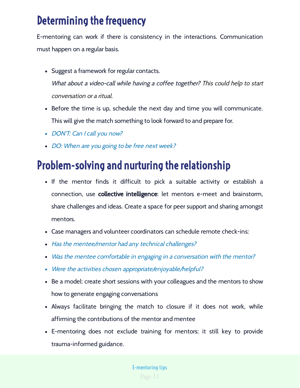## Determining the frequency

E-mentoring can work if there is consistency in the interactions. Communication must happen on a regular basis.

- Suggest a framework for regular contacts. What about a video-call while having a coffee together? This could help to start conversation or a ritual.
- Before the time is up, schedule the next day and time you will communicate. This will give the match something to look forward to and prepare for.
- DON'T: Can I call you now?
- DO: When are you going to be free next week?

## Problem-solving and nurturing the relationship

- If the mentor finds it difficult to pick a suitable activity or establish a connection, use **collective intelligence**: let mentors e-meet and brainstorm, share challenges and ideas. Create a space for peer support and sharing amongst mentors.
- Case managers and volunteer coordinators can schedule remote check-ins:
- Has the mentee/mentor had any technical challenges?
- Was the mentee comfortable in engaging in a conversation with the mentor?
- Were the activities chosen appropriate/enjoyable/helpful?
- Be a model: create short sessions with your colleagues and the mentors to show how to generate engaging conversations
- Always facilitate bringing the match to closure if it does not work, while affirming the contributions of the mentor and mentee
- E-mentoring does not exclude training for mentors: it still key to provide trauma-informed guidance.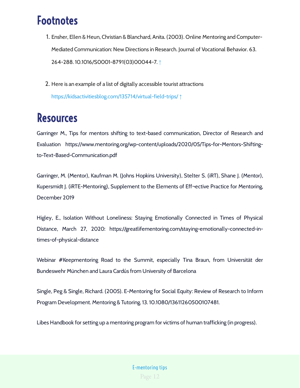## Footnotes

- 1. Ensher, Ellen & Heun, Christian & Blanchard, Anita. (2003). Online Mentoring and Computer-Mediated Communication: New Directions in Research. Journal of Vocational Behavior. 63. 264-288. 10.1016/S0001-8791(03)00044-7. ↑
- 2. Here is an example of a list of digitally accessible tourist attractions

<https://kidsactivitiesblog.com/135714/virtual-field-trips/> ↑

## Resources

Garringer M., Tips for mentors shifting to text-based communication, Director of Research and Evaluation https://www.mentoring.org/wp-content/uploads/2020/05/Tips-for-Mentors-Shiftingto-Text-Based-Communication.pdf

Garringer, M. (Mentor), Kaufman M. (Johns Hopkins University), Stelter S. (iRT), Shane J. (Mentor), Kupersmidt J. (iRTE-Mentoring), Supplement to the Elements of Eff¬ective Practice for Mentoring, December 2019

Higley, E., Isolation Without Loneliness: Staying Emotionally Connected in Times of Physical Distance, March 27, 2020: https://greatlifementoring.com/staying-emotionally-connected-intimes-of-physical-distance

Webinar #Keepmentoring Road to the Summit, especially Tina Braun, from Universität der Bundeswehr München and Laura Cardús from University of Barcelona

Single, Peg & Single, Richard. (2005). E-Mentoring for Social Equity: Review of Research to Inform Program Development. Mentoring & Tutoring. 13. 10.1080/13611260500107481.

Libes Handbook for setting up a mentoring program for victims of human trafficking (in progress).